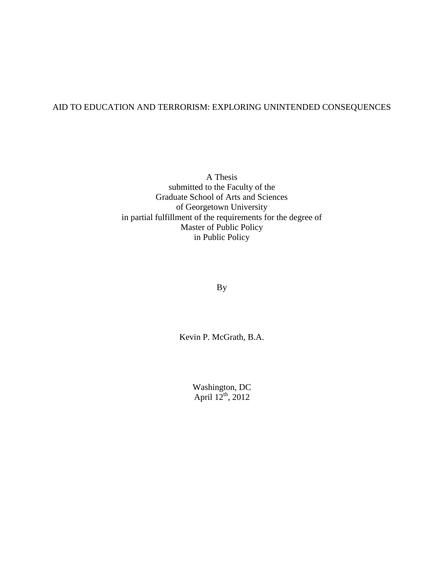### AID TO EDUCATION AND TERRORISM: EXPLORING UNINTENDED CONSEQUENCES

A Thesis submitted to the Faculty of the Graduate School of Arts and Sciences of Georgetown University in partial fulfillment of the requirements for the degree of Master of Public Policy in Public Policy

By

Kevin P. McGrath, B.A.

Washington, DC April  $12^{th}$ , 2012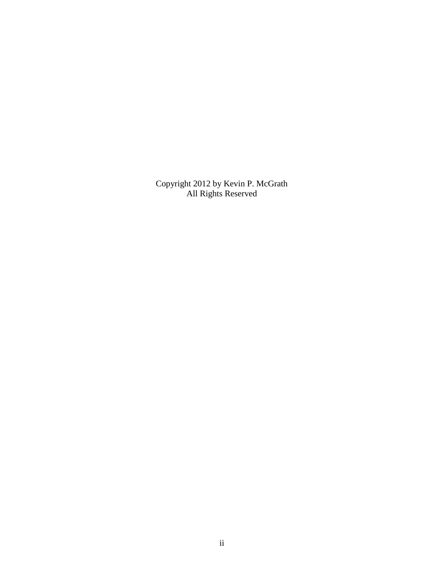Copyright 2012 by Kevin P. McGrath All Rights Reserved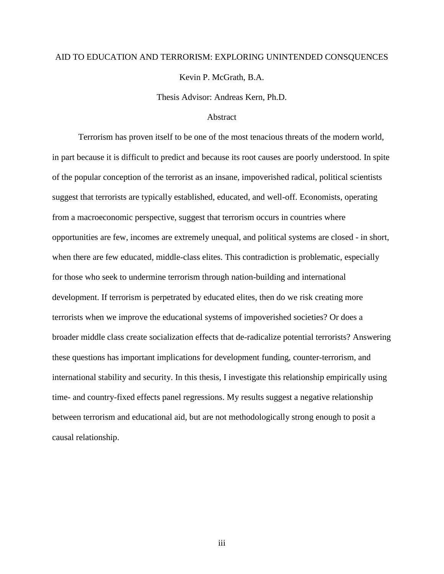# AID TO EDUCATION AND TERRORISM: EXPLORING UNINTENDED CONSQUENCES Kevin P. McGrath, B.A.

Thesis Advisor: Andreas Kern, Ph.D.

#### **Abstract**

Terrorism has proven itself to be one of the most tenacious threats of the modern world, in part because it is difficult to predict and because its root causes are poorly understood. In spite of the popular conception of the terrorist as an insane, impoverished radical, political scientists suggest that terrorists are typically established, educated, and well-off. Economists, operating from a macroeconomic perspective, suggest that terrorism occurs in countries where opportunities are few, incomes are extremely unequal, and political systems are closed - in short, when there are few educated, middle-class elites. This contradiction is problematic, especially for those who seek to undermine terrorism through nation-building and international development. If terrorism is perpetrated by educated elites, then do we risk creating more terrorists when we improve the educational systems of impoverished societies? Or does a broader middle class create socialization effects that de-radicalize potential terrorists? Answering these questions has important implications for development funding, counter-terrorism, and international stability and security. In this thesis, I investigate this relationship empirically using time- and country-fixed effects panel regressions. My results suggest a negative relationship between terrorism and educational aid, but are not methodologically strong enough to posit a causal relationship.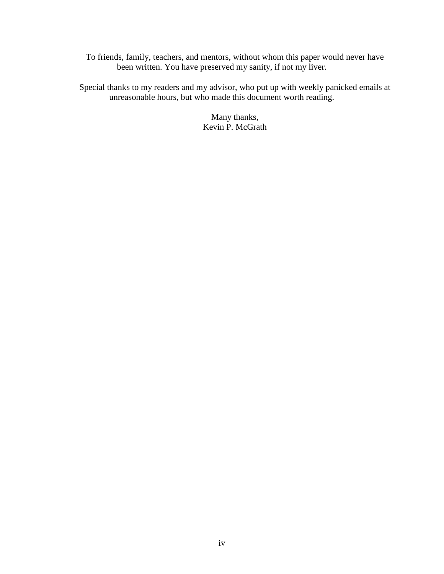To friends, family, teachers, and mentors, without whom this paper would never have been written. You have preserved my sanity, if not my liver.

Special thanks to my readers and my advisor, who put up with weekly panicked emails at unreasonable hours, but who made this document worth reading.

> Many thanks, Kevin P. McGrath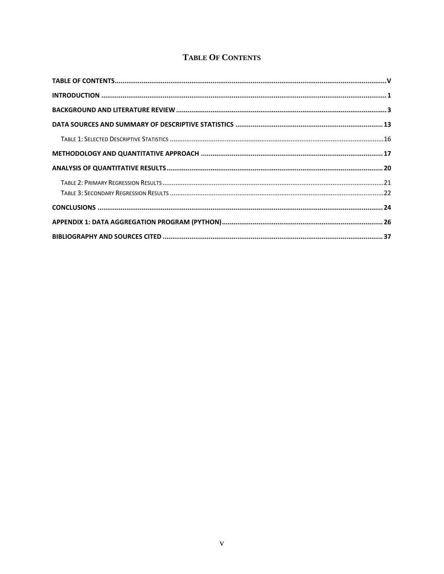## **TABLE OF CONTENTS**

<span id="page-4-0"></span>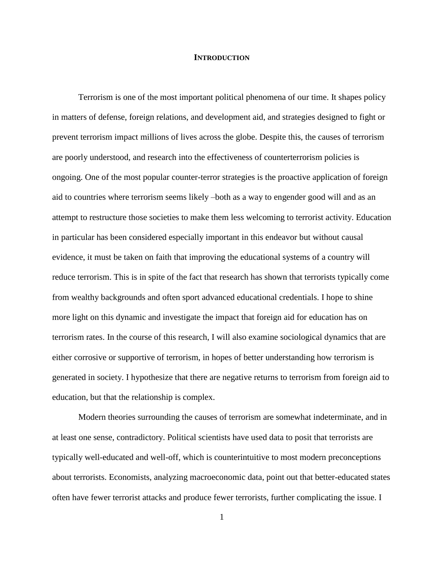#### **INTRODUCTION**

<span id="page-5-0"></span>Terrorism is one of the most important political phenomena of our time. It shapes policy in matters of defense, foreign relations, and development aid, and strategies designed to fight or prevent terrorism impact millions of lives across the globe. Despite this, the causes of terrorism are poorly understood, and research into the effectiveness of counterterrorism policies is ongoing. One of the most popular counter-terror strategies is the proactive application of foreign aid to countries where terrorism seems likely –both as a way to engender good will and as an attempt to restructure those societies to make them less welcoming to terrorist activity. Education in particular has been considered especially important in this endeavor but without causal evidence, it must be taken on faith that improving the educational systems of a country will reduce terrorism. This is in spite of the fact that research has shown that terrorists typically come from wealthy backgrounds and often sport advanced educational credentials. I hope to shine more light on this dynamic and investigate the impact that foreign aid for education has on terrorism rates. In the course of this research, I will also examine sociological dynamics that are either corrosive or supportive of terrorism, in hopes of better understanding how terrorism is generated in society. I hypothesize that there are negative returns to terrorism from foreign aid to education, but that the relationship is complex.

Modern theories surrounding the causes of terrorism are somewhat indeterminate, and in at least one sense, contradictory. Political scientists have used data to posit that terrorists are typically well-educated and well-off, which is counterintuitive to most modern preconceptions about terrorists. Economists, analyzing macroeconomic data, point out that better-educated states often have fewer terrorist attacks and produce fewer terrorists, further complicating the issue. I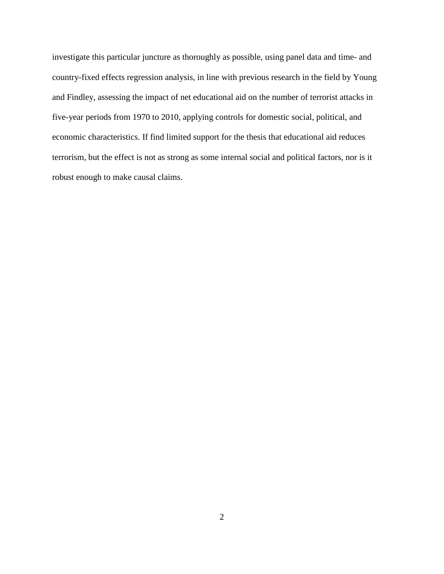investigate this particular juncture as thoroughly as possible, using panel data and time- and country-fixed effects regression analysis, in line with previous research in the field by Young and Findley, assessing the impact of net educational aid on the number of terrorist attacks in five-year periods from 1970 to 2010, applying controls for domestic social, political, and economic characteristics. If find limited support for the thesis that educational aid reduces terrorism, but the effect is not as strong as some internal social and political factors, nor is it robust enough to make causal claims.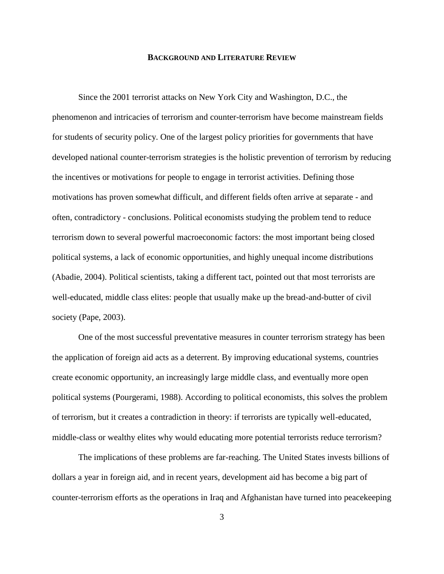#### **BACKGROUND AND LITERATURE REVIEW**

<span id="page-7-0"></span>Since the 2001 terrorist attacks on New York City and Washington, D.C., the phenomenon and intricacies of terrorism and counter-terrorism have become mainstream fields for students of security policy. One of the largest policy priorities for governments that have developed national counter-terrorism strategies is the holistic prevention of terrorism by reducing the incentives or motivations for people to engage in terrorist activities. Defining those motivations has proven somewhat difficult, and different fields often arrive at separate - and often, contradictory - conclusions. Political economists studying the problem tend to reduce terrorism down to several powerful macroeconomic factors: the most important being closed political systems, a lack of economic opportunities, and highly unequal income distributions (Abadie, 2004). Political scientists, taking a different tact, pointed out that most terrorists are well-educated, middle class elites: people that usually make up the bread-and-butter of civil society (Pape, 2003).

One of the most successful preventative measures in counter terrorism strategy has been the application of foreign aid acts as a deterrent. By improving educational systems, countries create economic opportunity, an increasingly large middle class, and eventually more open political systems (Pourgerami, 1988). According to political economists, this solves the problem of terrorism, but it creates a contradiction in theory: if terrorists are typically well-educated, middle-class or wealthy elites why would educating more potential terrorists reduce terrorism?

The implications of these problems are far-reaching. The United States invests billions of dollars a year in foreign aid, and in recent years, development aid has become a big part of counter-terrorism efforts as the operations in Iraq and Afghanistan have turned into peacekeeping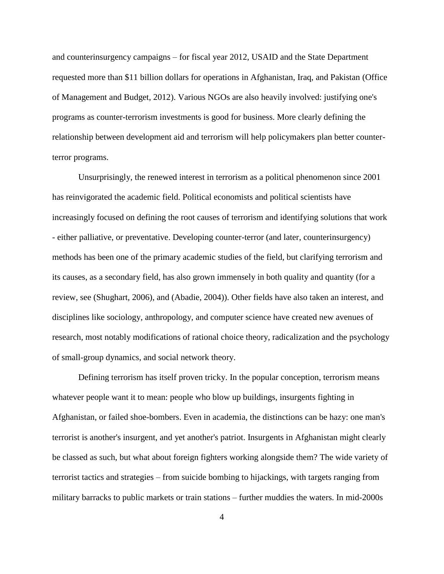and counterinsurgency campaigns – for fiscal year 2012, USAID and the State Department requested more than \$11 billion dollars for operations in Afghanistan, Iraq, and Pakistan (Office of Management and Budget, 2012). Various NGOs are also heavily involved: justifying one's programs as counter-terrorism investments is good for business. More clearly defining the relationship between development aid and terrorism will help policymakers plan better counterterror programs.

Unsurprisingly, the renewed interest in terrorism as a political phenomenon since 2001 has reinvigorated the academic field. Political economists and political scientists have increasingly focused on defining the root causes of terrorism and identifying solutions that work - either palliative, or preventative. Developing counter-terror (and later, counterinsurgency) methods has been one of the primary academic studies of the field, but clarifying terrorism and its causes, as a secondary field, has also grown immensely in both quality and quantity (for a review, see (Shughart, 2006), and (Abadie, 2004)). Other fields have also taken an interest, and disciplines like sociology, anthropology, and computer science have created new avenues of research, most notably modifications of rational choice theory, radicalization and the psychology of small-group dynamics, and social network theory.

Defining terrorism has itself proven tricky. In the popular conception, terrorism means whatever people want it to mean: people who blow up buildings, insurgents fighting in Afghanistan, or failed shoe-bombers. Even in academia, the distinctions can be hazy: one man's terrorist is another's insurgent, and yet another's patriot. Insurgents in Afghanistan might clearly be classed as such, but what about foreign fighters working alongside them? The wide variety of terrorist tactics and strategies – from suicide bombing to hijackings, with targets ranging from military barracks to public markets or train stations – further muddies the waters. In mid-2000s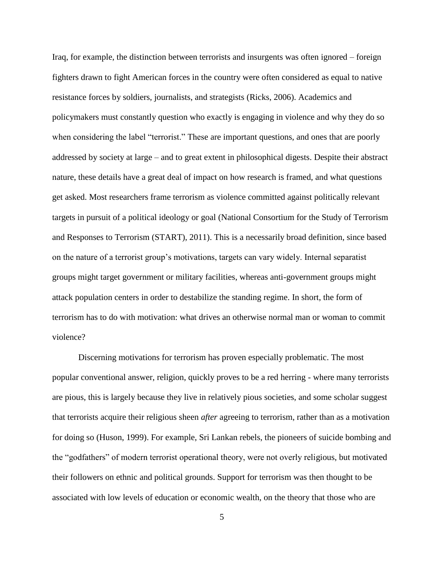Iraq, for example, the distinction between terrorists and insurgents was often ignored – foreign fighters drawn to fight American forces in the country were often considered as equal to native resistance forces by soldiers, journalists, and strategists (Ricks, 2006). Academics and policymakers must constantly question who exactly is engaging in violence and why they do so when considering the label "terrorist." These are important questions, and ones that are poorly addressed by society at large – and to great extent in philosophical digests. Despite their abstract nature, these details have a great deal of impact on how research is framed, and what questions get asked. Most researchers frame terrorism as violence committed against politically relevant targets in pursuit of a political ideology or goal (National Consortium for the Study of Terrorism and Responses to Terrorism (START), 2011). This is a necessarily broad definition, since based on the nature of a terrorist group's motivations, targets can vary widely. Internal separatist groups might target government or military facilities, whereas anti-government groups might attack population centers in order to destabilize the standing regime. In short, the form of terrorism has to do with motivation: what drives an otherwise normal man or woman to commit violence?

Discerning motivations for terrorism has proven especially problematic. The most popular conventional answer, religion, quickly proves to be a red herring - where many terrorists are pious, this is largely because they live in relatively pious societies, and some scholar suggest that terrorists acquire their religious sheen *after* agreeing to terrorism, rather than as a motivation for doing so (Huson, 1999). For example, Sri Lankan rebels, the pioneers of suicide bombing and the "godfathers" of modern terrorist operational theory, were not overly religious, but motivated their followers on ethnic and political grounds. Support for terrorism was then thought to be associated with low levels of education or economic wealth, on the theory that those who are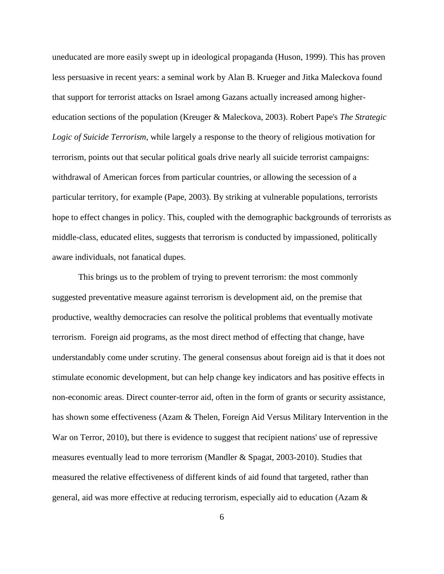uneducated are more easily swept up in ideological propaganda (Huson, 1999). This has proven less persuasive in recent years: a seminal work by Alan B. Krueger and Jitka Maleckova found that support for terrorist attacks on Israel among Gazans actually increased among highereducation sections of the population (Kreuger & Maleckova, 2003). Robert Pape's *The Strategic Logic of Suicide Terrorism*, while largely a response to the theory of religious motivation for terrorism, points out that secular political goals drive nearly all suicide terrorist campaigns: withdrawal of American forces from particular countries, or allowing the secession of a particular territory, for example (Pape, 2003). By striking at vulnerable populations, terrorists hope to effect changes in policy. This, coupled with the demographic backgrounds of terrorists as middle-class, educated elites, suggests that terrorism is conducted by impassioned, politically aware individuals, not fanatical dupes.

This brings us to the problem of trying to prevent terrorism: the most commonly suggested preventative measure against terrorism is development aid, on the premise that productive, wealthy democracies can resolve the political problems that eventually motivate terrorism. Foreign aid programs, as the most direct method of effecting that change, have understandably come under scrutiny. The general consensus about foreign aid is that it does not stimulate economic development, but can help change key indicators and has positive effects in non-economic areas. Direct counter-terror aid, often in the form of grants or security assistance, has shown some effectiveness (Azam & Thelen, Foreign Aid Versus Military Intervention in the War on Terror, 2010), but there is evidence to suggest that recipient nations' use of repressive measures eventually lead to more terrorism (Mandler & Spagat, 2003-2010). Studies that measured the relative effectiveness of different kinds of aid found that targeted, rather than general, aid was more effective at reducing terrorism, especially aid to education (Azam &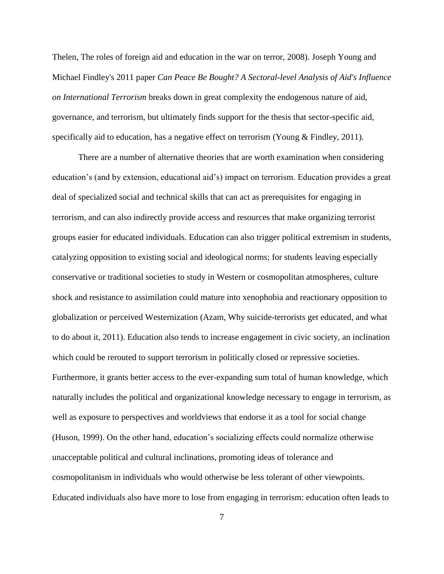Thelen, The roles of foreign aid and education in the war on terror, 2008). Joseph Young and Michael Findley's 2011 paper *Can Peace Be Bought? A Sectoral-level Analysis of Aid's Influence on International Terrorism* breaks down in great complexity the endogenous nature of aid, governance, and terrorism, but ultimately finds support for the thesis that sector-specific aid, specifically aid to education, has a negative effect on terrorism (Young & Findley, 2011).

There are a number of alternative theories that are worth examination when considering education's (and by extension, educational aid's) impact on terrorism. Education provides a great deal of specialized social and technical skills that can act as prerequisites for engaging in terrorism, and can also indirectly provide access and resources that make organizing terrorist groups easier for educated individuals. Education can also trigger political extremism in students, catalyzing opposition to existing social and ideological norms; for students leaving especially conservative or traditional societies to study in Western or cosmopolitan atmospheres, culture shock and resistance to assimilation could mature into xenophobia and reactionary opposition to globalization or perceived Westernization (Azam, Why suicide-terrorists get educated, and what to do about it, 2011). Education also tends to increase engagement in civic society, an inclination which could be rerouted to support terrorism in politically closed or repressive societies. Furthermore, it grants better access to the ever-expanding sum total of human knowledge, which naturally includes the political and organizational knowledge necessary to engage in terrorism, as well as exposure to perspectives and worldviews that endorse it as a tool for social change (Huson, 1999). On the other hand, education's socializing effects could normalize otherwise unacceptable political and cultural inclinations, promoting ideas of tolerance and cosmopolitanism in individuals who would otherwise be less tolerant of other viewpoints. Educated individuals also have more to lose from engaging in terrorism: education often leads to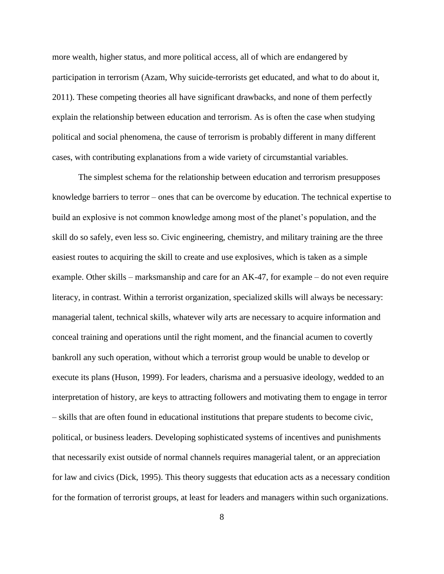more wealth, higher status, and more political access, all of which are endangered by participation in terrorism (Azam, Why suicide-terrorists get educated, and what to do about it, 2011). These competing theories all have significant drawbacks, and none of them perfectly explain the relationship between education and terrorism. As is often the case when studying political and social phenomena, the cause of terrorism is probably different in many different cases, with contributing explanations from a wide variety of circumstantial variables.

The simplest schema for the relationship between education and terrorism presupposes knowledge barriers to terror – ones that can be overcome by education. The technical expertise to build an explosive is not common knowledge among most of the planet's population, and the skill do so safely, even less so. Civic engineering, chemistry, and military training are the three easiest routes to acquiring the skill to create and use explosives, which is taken as a simple example. Other skills – marksmanship and care for an AK-47, for example – do not even require literacy, in contrast. Within a terrorist organization, specialized skills will always be necessary: managerial talent, technical skills, whatever wily arts are necessary to acquire information and conceal training and operations until the right moment, and the financial acumen to covertly bankroll any such operation, without which a terrorist group would be unable to develop or execute its plans (Huson, 1999). For leaders, charisma and a persuasive ideology, wedded to an interpretation of history, are keys to attracting followers and motivating them to engage in terror – skills that are often found in educational institutions that prepare students to become civic, political, or business leaders. Developing sophisticated systems of incentives and punishments that necessarily exist outside of normal channels requires managerial talent, or an appreciation for law and civics (Dick, 1995). This theory suggests that education acts as a necessary condition for the formation of terrorist groups, at least for leaders and managers within such organizations.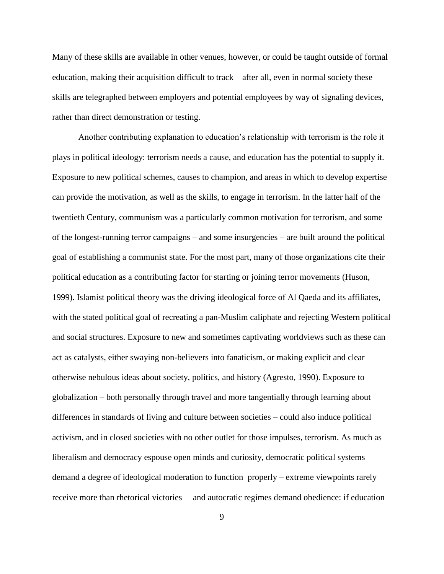Many of these skills are available in other venues, however, or could be taught outside of formal education, making their acquisition difficult to track – after all, even in normal society these skills are telegraphed between employers and potential employees by way of signaling devices, rather than direct demonstration or testing.

Another contributing explanation to education's relationship with terrorism is the role it plays in political ideology: terrorism needs a cause, and education has the potential to supply it. Exposure to new political schemes, causes to champion, and areas in which to develop expertise can provide the motivation, as well as the skills, to engage in terrorism. In the latter half of the twentieth Century, communism was a particularly common motivation for terrorism, and some of the longest-running terror campaigns – and some insurgencies – are built around the political goal of establishing a communist state. For the most part, many of those organizations cite their political education as a contributing factor for starting or joining terror movements (Huson, 1999). Islamist political theory was the driving ideological force of Al Qaeda and its affiliates, with the stated political goal of recreating a pan-Muslim caliphate and rejecting Western political and social structures. Exposure to new and sometimes captivating worldviews such as these can act as catalysts, either swaying non-believers into fanaticism, or making explicit and clear otherwise nebulous ideas about society, politics, and history (Agresto, 1990). Exposure to globalization – both personally through travel and more tangentially through learning about differences in standards of living and culture between societies – could also induce political activism, and in closed societies with no other outlet for those impulses, terrorism. As much as liberalism and democracy espouse open minds and curiosity, democratic political systems demand a degree of ideological moderation to function properly – extreme viewpoints rarely receive more than rhetorical victories – and autocratic regimes demand obedience: if education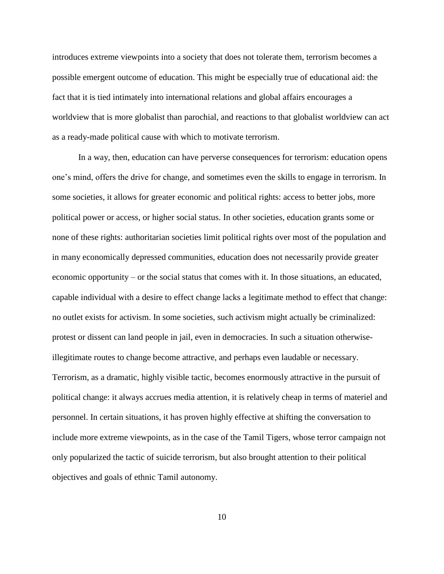introduces extreme viewpoints into a society that does not tolerate them, terrorism becomes a possible emergent outcome of education. This might be especially true of educational aid: the fact that it is tied intimately into international relations and global affairs encourages a worldview that is more globalist than parochial, and reactions to that globalist worldview can act as a ready-made political cause with which to motivate terrorism.

In a way, then, education can have perverse consequences for terrorism: education opens one's mind, offers the drive for change, and sometimes even the skills to engage in terrorism. In some societies, it allows for greater economic and political rights: access to better jobs, more political power or access, or higher social status. In other societies, education grants some or none of these rights: authoritarian societies limit political rights over most of the population and in many economically depressed communities, education does not necessarily provide greater economic opportunity – or the social status that comes with it. In those situations, an educated, capable individual with a desire to effect change lacks a legitimate method to effect that change: no outlet exists for activism. In some societies, such activism might actually be criminalized: protest or dissent can land people in jail, even in democracies. In such a situation otherwiseillegitimate routes to change become attractive, and perhaps even laudable or necessary. Terrorism, as a dramatic, highly visible tactic, becomes enormously attractive in the pursuit of political change: it always accrues media attention, it is relatively cheap in terms of materiel and personnel. In certain situations, it has proven highly effective at shifting the conversation to include more extreme viewpoints, as in the case of the Tamil Tigers, whose terror campaign not only popularized the tactic of suicide terrorism, but also brought attention to their political objectives and goals of ethnic Tamil autonomy.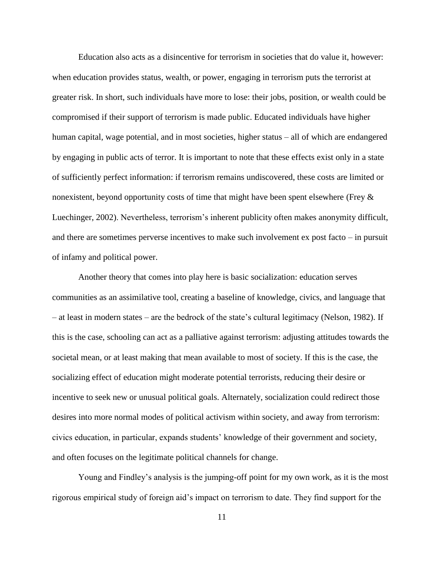Education also acts as a disincentive for terrorism in societies that do value it, however: when education provides status, wealth, or power, engaging in terrorism puts the terrorist at greater risk. In short, such individuals have more to lose: their jobs, position, or wealth could be compromised if their support of terrorism is made public. Educated individuals have higher human capital, wage potential, and in most societies, higher status – all of which are endangered by engaging in public acts of terror. It is important to note that these effects exist only in a state of sufficiently perfect information: if terrorism remains undiscovered, these costs are limited or nonexistent, beyond opportunity costs of time that might have been spent elsewhere (Frey & Luechinger, 2002). Nevertheless, terrorism's inherent publicity often makes anonymity difficult, and there are sometimes perverse incentives to make such involvement ex post facto – in pursuit of infamy and political power.

Another theory that comes into play here is basic socialization: education serves communities as an assimilative tool, creating a baseline of knowledge, civics, and language that – at least in modern states – are the bedrock of the state's cultural legitimacy (Nelson, 1982). If this is the case, schooling can act as a palliative against terrorism: adjusting attitudes towards the societal mean, or at least making that mean available to most of society. If this is the case, the socializing effect of education might moderate potential terrorists, reducing their desire or incentive to seek new or unusual political goals. Alternately, socialization could redirect those desires into more normal modes of political activism within society, and away from terrorism: civics education, in particular, expands students' knowledge of their government and society, and often focuses on the legitimate political channels for change.

Young and Findley's analysis is the jumping-off point for my own work, as it is the most rigorous empirical study of foreign aid's impact on terrorism to date. They find support for the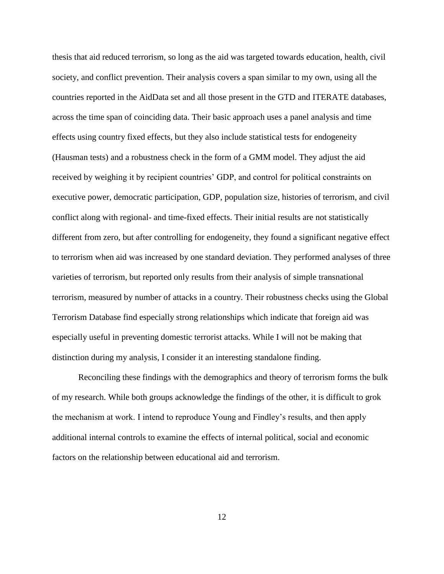thesis that aid reduced terrorism, so long as the aid was targeted towards education, health, civil society, and conflict prevention. Their analysis covers a span similar to my own, using all the countries reported in the AidData set and all those present in the GTD and ITERATE databases, across the time span of coinciding data. Their basic approach uses a panel analysis and time effects using country fixed effects, but they also include statistical tests for endogeneity (Hausman tests) and a robustness check in the form of a GMM model. They adjust the aid received by weighing it by recipient countries' GDP, and control for political constraints on executive power, democratic participation, GDP, population size, histories of terrorism, and civil conflict along with regional- and time-fixed effects. Their initial results are not statistically different from zero, but after controlling for endogeneity, they found a significant negative effect to terrorism when aid was increased by one standard deviation. They performed analyses of three varieties of terrorism, but reported only results from their analysis of simple transnational terrorism, measured by number of attacks in a country. Their robustness checks using the Global Terrorism Database find especially strong relationships which indicate that foreign aid was especially useful in preventing domestic terrorist attacks. While I will not be making that distinction during my analysis, I consider it an interesting standalone finding.

Reconciling these findings with the demographics and theory of terrorism forms the bulk of my research. While both groups acknowledge the findings of the other, it is difficult to grok the mechanism at work. I intend to reproduce Young and Findley's results, and then apply additional internal controls to examine the effects of internal political, social and economic factors on the relationship between educational aid and terrorism.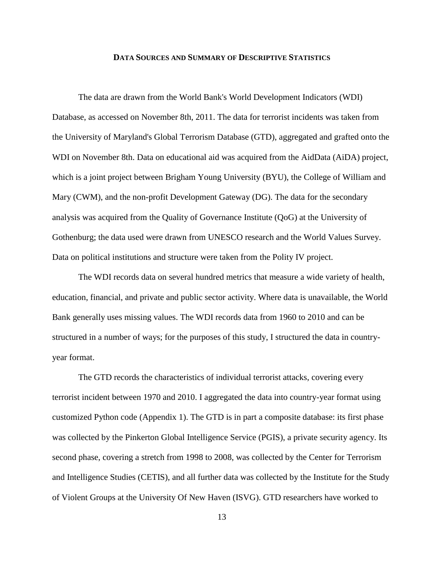#### **DATA SOURCES AND SUMMARY OF DESCRIPTIVE STATISTICS**

<span id="page-17-0"></span>The data are drawn from the World Bank's World Development Indicators (WDI) Database, as accessed on November 8th, 2011. The data for terrorist incidents was taken from the University of Maryland's Global Terrorism Database (GTD), aggregated and grafted onto the WDI on November 8th. Data on educational aid was acquired from the AidData (AiDA) project, which is a joint project between Brigham Young University (BYU), the College of William and Mary (CWM), and the non-profit Development Gateway (DG). The data for the secondary analysis was acquired from the Quality of Governance Institute (QoG) at the University of Gothenburg; the data used were drawn from UNESCO research and the World Values Survey. Data on political institutions and structure were taken from the Polity IV project.

The WDI records data on several hundred metrics that measure a wide variety of health, education, financial, and private and public sector activity. Where data is unavailable, the World Bank generally uses missing values. The WDI records data from 1960 to 2010 and can be structured in a number of ways; for the purposes of this study, I structured the data in countryyear format.

The GTD records the characteristics of individual terrorist attacks, covering every terrorist incident between 1970 and 2010. I aggregated the data into country-year format using customized Python code (Appendix 1). The GTD is in part a composite database: its first phase was collected by the Pinkerton Global Intelligence Service (PGIS), a private security agency. Its second phase, covering a stretch from 1998 to 2008, was collected by the Center for Terrorism and Intelligence Studies (CETIS), and all further data was collected by the Institute for the Study of Violent Groups at the University Of New Haven (ISVG). GTD researchers have worked to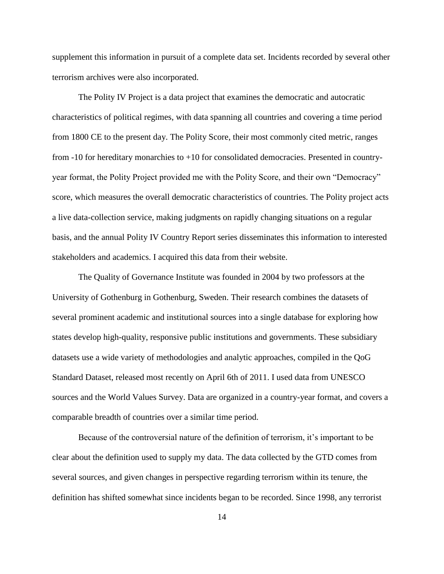supplement this information in pursuit of a complete data set. Incidents recorded by several other terrorism archives were also incorporated.

The Polity IV Project is a data project that examines the democratic and autocratic characteristics of political regimes, with data spanning all countries and covering a time period from 1800 CE to the present day. The Polity Score, their most commonly cited metric, ranges from -10 for hereditary monarchies to +10 for consolidated democracies. Presented in countryyear format, the Polity Project provided me with the Polity Score, and their own "Democracy" score, which measures the overall democratic characteristics of countries. The Polity project acts a live data-collection service, making judgments on rapidly changing situations on a regular basis, and the annual Polity IV Country Report series disseminates this information to interested stakeholders and academics. I acquired this data from their website.

The Quality of Governance Institute was founded in 2004 by two professors at the University of Gothenburg in Gothenburg, Sweden. Their research combines the datasets of several prominent academic and institutional sources into a single database for exploring how states develop high-quality, responsive public institutions and governments. These subsidiary datasets use a wide variety of methodologies and analytic approaches, compiled in the QoG Standard Dataset, released most recently on April 6th of 2011. I used data from UNESCO sources and the World Values Survey. Data are organized in a country-year format, and covers a comparable breadth of countries over a similar time period.

Because of the controversial nature of the definition of terrorism, it's important to be clear about the definition used to supply my data. The data collected by the GTD comes from several sources, and given changes in perspective regarding terrorism within its tenure, the definition has shifted somewhat since incidents began to be recorded. Since 1998, any terrorist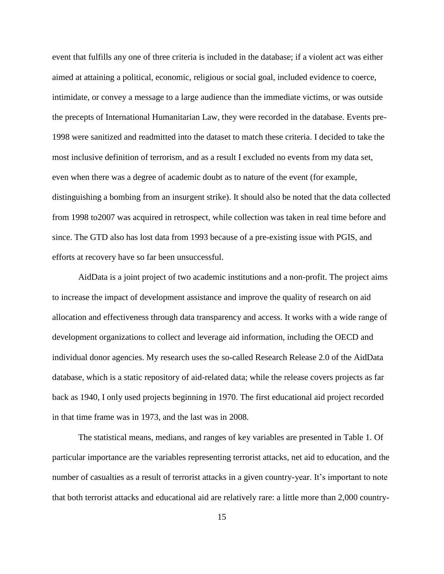event that fulfills any one of three criteria is included in the database; if a violent act was either aimed at attaining a political, economic, religious or social goal, included evidence to coerce, intimidate, or convey a message to a large audience than the immediate victims, or was outside the precepts of International Humanitarian Law, they were recorded in the database. Events pre-1998 were sanitized and readmitted into the dataset to match these criteria. I decided to take the most inclusive definition of terrorism, and as a result I excluded no events from my data set, even when there was a degree of academic doubt as to nature of the event (for example, distinguishing a bombing from an insurgent strike). It should also be noted that the data collected from 1998 to2007 was acquired in retrospect, while collection was taken in real time before and since. The GTD also has lost data from 1993 because of a pre-existing issue with PGIS, and efforts at recovery have so far been unsuccessful.

AidData is a joint project of two academic institutions and a non-profit. The project aims to increase the impact of development assistance and improve the quality of research on aid allocation and effectiveness through data transparency and access. It works with a wide range of development organizations to collect and leverage aid information, including the OECD and individual donor agencies. My research uses the so-called Research Release 2.0 of the AidData database, which is a static repository of aid-related data; while the release covers projects as far back as 1940, I only used projects beginning in 1970. The first educational aid project recorded in that time frame was in 1973, and the last was in 2008.

The statistical means, medians, and ranges of key variables are presented in Table 1. Of particular importance are the variables representing terrorist attacks, net aid to education, and the number of casualties as a result of terrorist attacks in a given country-year. It's important to note that both terrorist attacks and educational aid are relatively rare: a little more than 2,000 country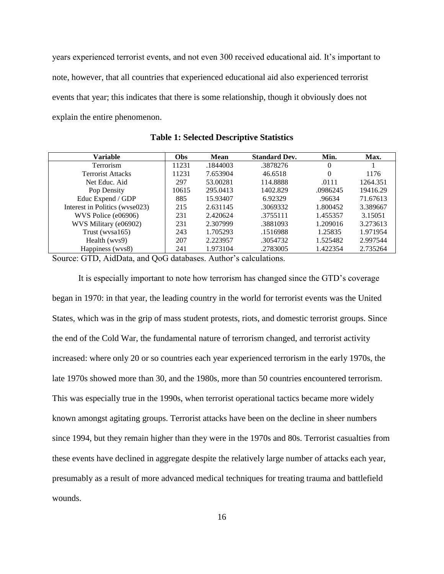years experienced terrorist events, and not even 300 received educational aid. It's important to note, however, that all countries that experienced educational aid also experienced terrorist events that year; this indicates that there is some relationship, though it obviously does not explain the entire phenomenon.

<span id="page-20-0"></span>

| Variable                       | Obs   | <b>Mean</b> | <b>Standard Dev.</b> | Min.     | Max.     |
|--------------------------------|-------|-------------|----------------------|----------|----------|
| Terrorism                      | 11231 | .1844003    | .3878276             | $\Omega$ |          |
| <b>Terrorist Attacks</b>       | 11231 | 7.653904    | 46.6518              | $\Omega$ | 1176     |
| Net Educ. Aid.                 | 297   | 53.00281    | 114.8888             | .0111    | 1264.351 |
| Pop Density                    | 10615 | 295.0413    | 1402.829             | .0986245 | 19416.29 |
| Educ Expend / GDP              | 885   | 15.93407    | 6.92329              | .96634   | 71.67613 |
| Interest in Politics (wyse023) | 215   | 2.631145    | .3069332             | 1.800452 | 3.389667 |
| WVS Police (e06906)            | 231   | 2.420624    | .3755111             | 1.455357 | 3.15051  |
| WVS Military (e06902)          | 231   | 2.307999    | .3881093             | 1.209016 | 3.273613 |
| Trust (wysa $165$ )            | 243   | 1.705293    | .1516988             | 1.25835  | 1.971954 |
| Health (wys9)                  | 207   | 2.223957    | .3054732             | 1.525482 | 2.997544 |
| Happiness (wys8)               | 241   | 1.973104    | .2783005             | 1.422354 | 2.735264 |

**Table 1: Selected Descriptive Statistics**

Source: GTD, AidData, and QoG databases. Author's calculations.

It is especially important to note how terrorism has changed since the GTD's coverage began in 1970: in that year, the leading country in the world for terrorist events was the United States, which was in the grip of mass student protests, riots, and domestic terrorist groups. Since the end of the Cold War, the fundamental nature of terrorism changed, and terrorist activity increased: where only 20 or so countries each year experienced terrorism in the early 1970s, the late 1970s showed more than 30, and the 1980s, more than 50 countries encountered terrorism. This was especially true in the 1990s, when terrorist operational tactics became more widely known amongst agitating groups. Terrorist attacks have been on the decline in sheer numbers since 1994, but they remain higher than they were in the 1970s and 80s. Terrorist casualties from these events have declined in aggregate despite the relatively large number of attacks each year, presumably as a result of more advanced medical techniques for treating trauma and battlefield wounds.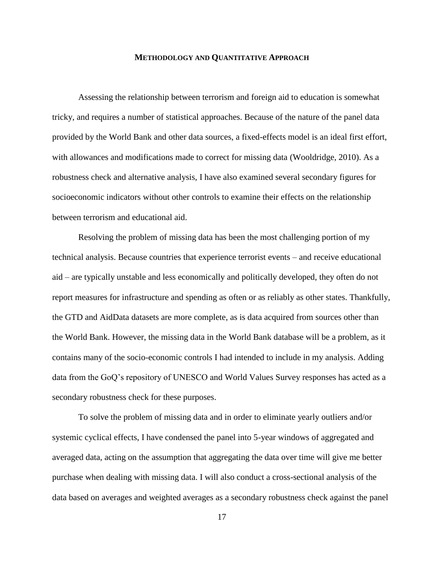#### **METHODOLOGY AND QUANTITATIVE APPROACH**

<span id="page-21-0"></span>Assessing the relationship between terrorism and foreign aid to education is somewhat tricky, and requires a number of statistical approaches. Because of the nature of the panel data provided by the World Bank and other data sources, a fixed-effects model is an ideal first effort, with allowances and modifications made to correct for missing data (Wooldridge, 2010). As a robustness check and alternative analysis, I have also examined several secondary figures for socioeconomic indicators without other controls to examine their effects on the relationship between terrorism and educational aid.

Resolving the problem of missing data has been the most challenging portion of my technical analysis. Because countries that experience terrorist events – and receive educational aid – are typically unstable and less economically and politically developed, they often do not report measures for infrastructure and spending as often or as reliably as other states. Thankfully, the GTD and AidData datasets are more complete, as is data acquired from sources other than the World Bank. However, the missing data in the World Bank database will be a problem, as it contains many of the socio-economic controls I had intended to include in my analysis. Adding data from the GoQ's repository of UNESCO and World Values Survey responses has acted as a secondary robustness check for these purposes.

To solve the problem of missing data and in order to eliminate yearly outliers and/or systemic cyclical effects, I have condensed the panel into 5-year windows of aggregated and averaged data, acting on the assumption that aggregating the data over time will give me better purchase when dealing with missing data. I will also conduct a cross-sectional analysis of the data based on averages and weighted averages as a secondary robustness check against the panel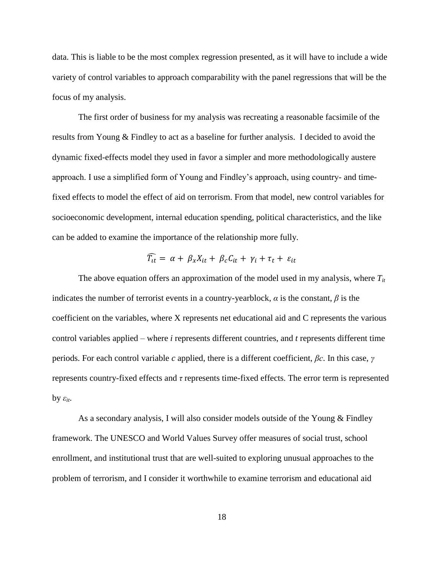data. This is liable to be the most complex regression presented, as it will have to include a wide variety of control variables to approach comparability with the panel regressions that will be the focus of my analysis.

The first order of business for my analysis was recreating a reasonable facsimile of the results from Young & Findley to act as a baseline for further analysis. I decided to avoid the dynamic fixed-effects model they used in favor a simpler and more methodologically austere approach. I use a simplified form of Young and Findley's approach, using country- and timefixed effects to model the effect of aid on terrorism. From that model, new control variables for socioeconomic development, internal education spending, political characteristics, and the like can be added to examine the importance of the relationship more fully.

$$
\widehat{T_{it}} = \alpha + \beta_x X_{it} + \beta_c C_{it} + \gamma_i + \tau_t + \varepsilon_{it}
$$

The above equation offers an approximation of the model used in my analysis, where *Tit* indicates the number of terrorist events in a country-yearblock, *α* is the constant, *β* is the coefficient on the variables, where X represents net educational aid and C represents the various control variables applied – where *i* represents different countries, and *t* represents different time periods. For each control variable *c* applied, there is a different coefficient, *βc*. In this case, *γ*  represents country-fixed effects and *τ* represents time-fixed effects. The error term is represented **by**  $ε$ <sub>*it*</sub>.

As a secondary analysis, I will also consider models outside of the Young & Findley framework. The UNESCO and World Values Survey offer measures of social trust, school enrollment, and institutional trust that are well-suited to exploring unusual approaches to the problem of terrorism, and I consider it worthwhile to examine terrorism and educational aid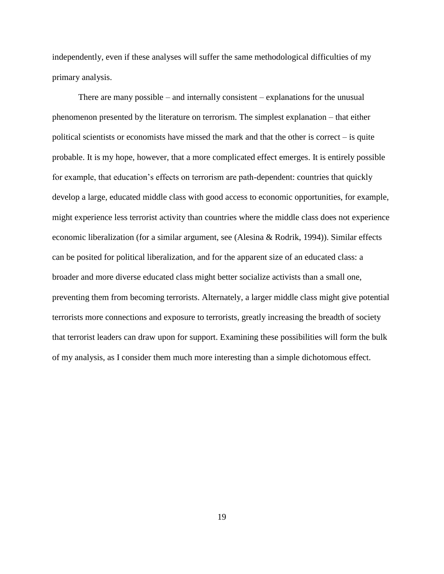independently, even if these analyses will suffer the same methodological difficulties of my primary analysis.

There are many possible – and internally consistent – explanations for the unusual phenomenon presented by the literature on terrorism. The simplest explanation – that either political scientists or economists have missed the mark and that the other is correct – is quite probable. It is my hope, however, that a more complicated effect emerges. It is entirely possible for example, that education's effects on terrorism are path-dependent: countries that quickly develop a large, educated middle class with good access to economic opportunities, for example, might experience less terrorist activity than countries where the middle class does not experience economic liberalization (for a similar argument, see (Alesina & Rodrik, 1994)). Similar effects can be posited for political liberalization, and for the apparent size of an educated class: a broader and more diverse educated class might better socialize activists than a small one, preventing them from becoming terrorists. Alternately, a larger middle class might give potential terrorists more connections and exposure to terrorists, greatly increasing the breadth of society that terrorist leaders can draw upon for support. Examining these possibilities will form the bulk of my analysis, as I consider them much more interesting than a simple dichotomous effect.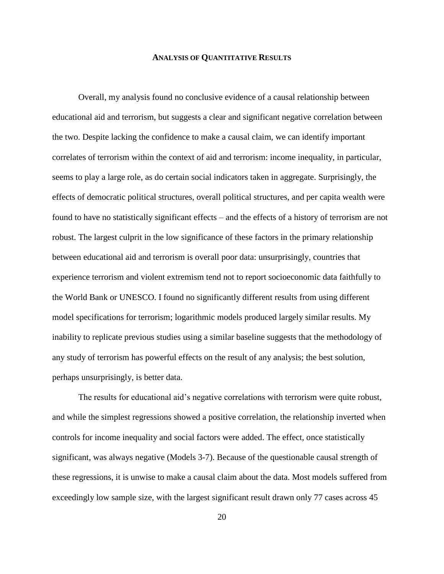#### **ANALYSIS OF QUANTITATIVE RESULTS**

<span id="page-24-0"></span>Overall, my analysis found no conclusive evidence of a causal relationship between educational aid and terrorism, but suggests a clear and significant negative correlation between the two. Despite lacking the confidence to make a causal claim, we can identify important correlates of terrorism within the context of aid and terrorism: income inequality, in particular, seems to play a large role, as do certain social indicators taken in aggregate. Surprisingly, the effects of democratic political structures, overall political structures, and per capita wealth were found to have no statistically significant effects – and the effects of a history of terrorism are not robust. The largest culprit in the low significance of these factors in the primary relationship between educational aid and terrorism is overall poor data: unsurprisingly, countries that experience terrorism and violent extremism tend not to report socioeconomic data faithfully to the World Bank or UNESCO. I found no significantly different results from using different model specifications for terrorism; logarithmic models produced largely similar results. My inability to replicate previous studies using a similar baseline suggests that the methodology of any study of terrorism has powerful effects on the result of any analysis; the best solution, perhaps unsurprisingly, is better data.

The results for educational aid's negative correlations with terrorism were quite robust, and while the simplest regressions showed a positive correlation, the relationship inverted when controls for income inequality and social factors were added. The effect, once statistically significant, was always negative (Models 3-7). Because of the questionable causal strength of these regressions, it is unwise to make a causal claim about the data. Most models suffered from exceedingly low sample size, with the largest significant result drawn only 77 cases across 45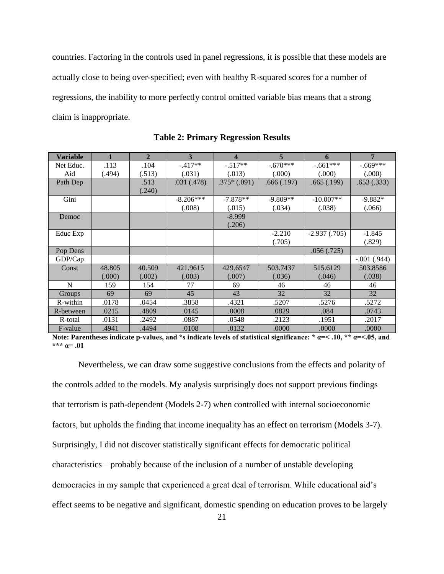countries. Factoring in the controls used in panel regressions, it is possible that these models are actually close to being over-specified; even with healthy R-squared scores for a number of regressions, the inability to more perfectly control omitted variable bias means that a strong claim is inappropriate.

<span id="page-25-0"></span>

| <b>Variable</b> |        | $\overline{2}$ | 3           | $\boldsymbol{4}$ | $\overline{5}$ | 6               | 7             |
|-----------------|--------|----------------|-------------|------------------|----------------|-----------------|---------------|
| Net Educ.       | .113   | .104           | $-417**$    | $-.517**$        | $-.670***$     | $-.661***$      | $-.669***$    |
| Aid             | (.494) | (.513)         | (.031)      | (.013)           | (.000)         | (.000)          | (.000)        |
| Path Dep        |        | .513           | .031 (.478) | $.375*(.091)$    | .666(.197)     | .665(.199)      | .653(.333)    |
|                 |        | (.240)         |             |                  |                |                 |               |
| Gini            |        |                | $-8.206***$ | $-7.878**$       | $-9.809**$     | $-10.007**$     | $-9.882*$     |
|                 |        |                | (.008)      | (.015)           | (.034)         | (.038)          | (.066)        |
| Democ           |        |                |             | $-8.999$         |                |                 |               |
|                 |        |                |             | (.206)           |                |                 |               |
| Educ Exp        |        |                |             |                  | $-2.210$       | $-2.937(0.705)$ | $-1.845$      |
|                 |        |                |             |                  | (.705)         |                 | (.829)        |
| Pop Dens        |        |                |             |                  |                | .056(.725)      |               |
| GDP/Cap         |        |                |             |                  |                |                 | $-.001(.944)$ |
| Const           | 48.805 | 40.509         | 421.9615    | 429.6547         | 503.7437       | 515.6129        | 503.8586      |
|                 | (.000) | (.002)         | (.003)      | (.007)           | (.036)         | (.046)          | (.038)        |
| N               | 159    | 154            | 77          | 69               | 46             | 46              | 46            |
| <b>Groups</b>   | 69     | 69             | 45          | 43               | 32             | 32              | 32            |
| R-within        | .0178  | .0454          | .3858       | .4321            | .5207          | .5276           | .5272         |
| R-between       | .0215  | .4809          | .0145       | .0008            | .0829          | .084            | .0743         |
| R-total         | .0131  | .2492          | .0887       | .0548            | .2123          | .1951           | .2017         |
| F-value         | .4941  | .4494          | .0108       | .0132            | .0000          | .0000           | .0000         |

**Table 2: Primary Regression Results**

**Note: Parentheses indicate p-values, and \*s indicate levels of statistical significance: \* α=< .10, \*\* α=<.05, and \*\*\* α= .01**

Nevertheless, we can draw some suggestive conclusions from the effects and polarity of the controls added to the models. My analysis surprisingly does not support previous findings that terrorism is path-dependent (Models 2-7) when controlled with internal socioeconomic factors, but upholds the finding that income inequality has an effect on terrorism (Models 3-7). Surprisingly, I did not discover statistically significant effects for democratic political characteristics – probably because of the inclusion of a number of unstable developing democracies in my sample that experienced a great deal of terrorism. While educational aid's effect seems to be negative and significant, domestic spending on education proves to be largely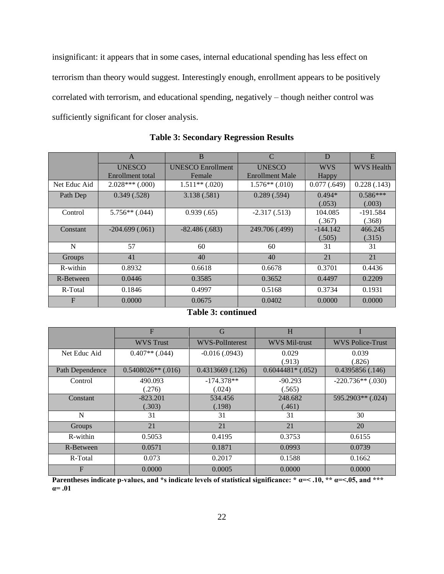insignificant: it appears that in some cases, internal educational spending has less effect on terrorism than theory would suggest. Interestingly enough, enrollment appears to be positively correlated with terrorism, and educational spending, negatively – though neither control was sufficiently significant for closer analysis.

<span id="page-26-0"></span>

|              | A                       | <sub>B</sub>             | $\mathcal{C}$          | D           | E                 |
|--------------|-------------------------|--------------------------|------------------------|-------------|-------------------|
|              | <b>UNESCO</b>           | <b>UNESCO Enrollment</b> | <b>UNESCO</b>          | <b>WVS</b>  | <b>WVS</b> Health |
|              | <b>Enrollment</b> total | Female                   | <b>Enrollment Male</b> | Happy       |                   |
| Net Educ Aid | $2.028***$ (.000)       | $1.511**$ (.020)         | $1.576**$ (.010)       | 0.077(.649) | 0.228(.143)       |
| Path Dep     | 0.349(.528)             | 3.138 (.581)             | 0.289(.594)            | $0.494*$    | $0.586***$        |
|              |                         |                          |                        | (.053)      | (.003)            |
| Control      | $5.756**$ (.044)        | 0.939(.65)               | $-2.317(.513)$         | 104.085     | $-191.584$        |
|              |                         |                          |                        | (.367)      | (.368)            |
| Constant     | $-204.699(.061)$        | $-82.486(.683)$          | 249.706 (.499)         | $-144.142$  | 466.245           |
|              |                         |                          |                        | (.505)      | (.315)            |
| N            | 57                      | 60                       | 60                     | 31          | 31                |
| Groups       | 41                      | 40                       | 40                     | 21          | 21                |
| R-within     | 0.8932                  | 0.6618                   | 0.6678                 | 0.3701      | 0.4436            |
| R-Between    | 0.0446                  | 0.3585                   | 0.3652                 | 0.4497      | 0.2209            |
| R-Total      | 0.1846                  | 0.4997                   | 0.5168                 | 0.3734      | 0.1931            |
| $\mathbf{F}$ | 0.0000                  | 0.0675                   | 0.0402                 | 0.0000      | 0.0000            |

**Table 3: Secondary Regression Results**

|  |  |  | <b>Table 3: continued</b> |  |
|--|--|--|---------------------------|--|
|--|--|--|---------------------------|--|

|                 | F                    | G                    | H                  |                         |
|-----------------|----------------------|----------------------|--------------------|-------------------------|
|                 | <b>WVS</b> Trust     | WVS-PolInterest      | WVS Mil-trust      | <b>WVS Police-Trust</b> |
| Net Educ Aid    | $0.407**$ (.044)     | $-0.016$ (.0943)     | 0.029              | 0.039                   |
|                 |                      |                      | (.913)             | (.826)                  |
| Path Dependence | $0.5408026**$ (.016) | $0.4313669$ $(.126)$ | $0.6044481*(.052)$ | 0.4395856(.146)         |
| Control         | 490.093              | $-174.378**$         | $-90.293$          | $-220.736**$ (.030)     |
|                 | (.276)               | (.024)               | (.565)             |                         |
| Constant        | $-823.201$           | 534.456              | 248.682            | $595.2903**$ (.024)     |
|                 | (.303)               | (.198)               | (.461)             |                         |
| N               | 31                   | 31                   | 31                 | 30                      |
| Groups          | 21                   | 21                   | 21                 | 20                      |
| R-within        | 0.5053               | 0.4195               | 0.3753             | 0.6155                  |
| R-Between       | 0.0571               | 0.1871               | 0.0993             | 0.0739                  |
| R-Total         | 0.073                | 0.2017               | 0.1588             | 0.1662                  |
| F               | 0.0000               | 0.0005               | 0.0000             | 0.0000                  |

**Parentheses indicate p-values, and \*s indicate levels of statistical significance: \***  $\alpha$ **=<.10, \*\***  $\alpha$ **=<.05, and \*\*\* α= .01**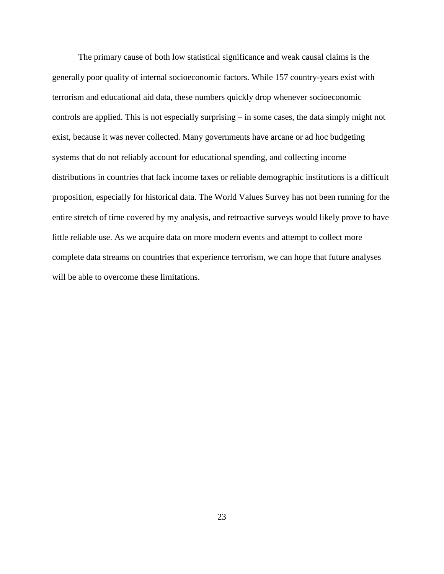The primary cause of both low statistical significance and weak causal claims is the generally poor quality of internal socioeconomic factors. While 157 country-years exist with terrorism and educational aid data, these numbers quickly drop whenever socioeconomic controls are applied. This is not especially surprising – in some cases, the data simply might not exist, because it was never collected. Many governments have arcane or ad hoc budgeting systems that do not reliably account for educational spending, and collecting income distributions in countries that lack income taxes or reliable demographic institutions is a difficult proposition, especially for historical data. The World Values Survey has not been running for the entire stretch of time covered by my analysis, and retroactive surveys would likely prove to have little reliable use. As we acquire data on more modern events and attempt to collect more complete data streams on countries that experience terrorism, we can hope that future analyses will be able to overcome these limitations.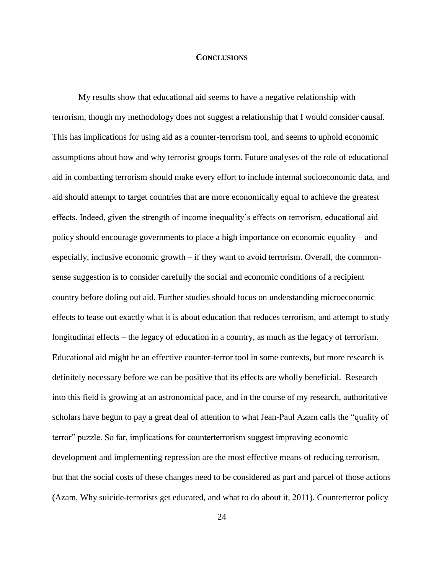#### **CONCLUSIONS**

<span id="page-28-0"></span>My results show that educational aid seems to have a negative relationship with terrorism, though my methodology does not suggest a relationship that I would consider causal. This has implications for using aid as a counter-terrorism tool, and seems to uphold economic assumptions about how and why terrorist groups form. Future analyses of the role of educational aid in combatting terrorism should make every effort to include internal socioeconomic data, and aid should attempt to target countries that are more economically equal to achieve the greatest effects. Indeed, given the strength of income inequality's effects on terrorism, educational aid policy should encourage governments to place a high importance on economic equality – and especially, inclusive economic growth – if they want to avoid terrorism. Overall, the commonsense suggestion is to consider carefully the social and economic conditions of a recipient country before doling out aid. Further studies should focus on understanding microeconomic effects to tease out exactly what it is about education that reduces terrorism, and attempt to study longitudinal effects – the legacy of education in a country, as much as the legacy of terrorism. Educational aid might be an effective counter-terror tool in some contexts, but more research is definitely necessary before we can be positive that its effects are wholly beneficial. Research into this field is growing at an astronomical pace, and in the course of my research, authoritative scholars have begun to pay a great deal of attention to what Jean-Paul Azam calls the "quality of terror" puzzle. So far, implications for counterterrorism suggest improving economic development and implementing repression are the most effective means of reducing terrorism, but that the social costs of these changes need to be considered as part and parcel of those actions (Azam, Why suicide-terrorists get educated, and what to do about it, 2011). Counterterror policy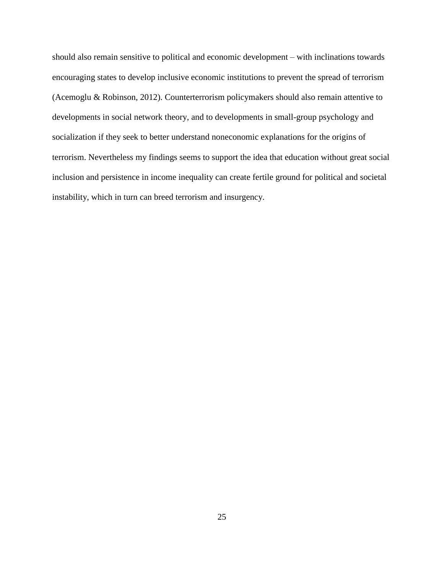should also remain sensitive to political and economic development – with inclinations towards encouraging states to develop inclusive economic institutions to prevent the spread of terrorism (Acemoglu & Robinson, 2012). Counterterrorism policymakers should also remain attentive to developments in social network theory, and to developments in small-group psychology and socialization if they seek to better understand noneconomic explanations for the origins of terrorism. Nevertheless my findings seems to support the idea that education without great social inclusion and persistence in income inequality can create fertile ground for political and societal instability, which in turn can breed terrorism and insurgency.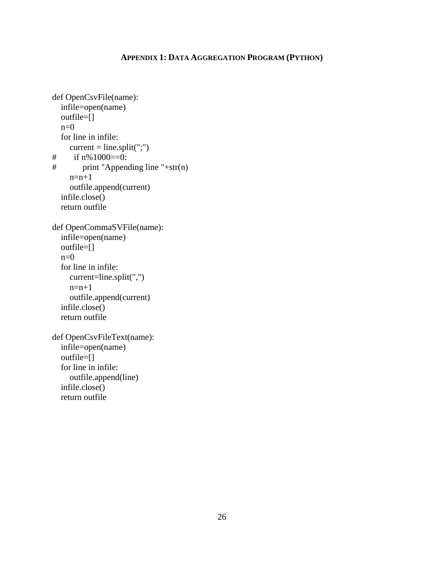#### **APPENDIX 1: DATA AGGREGATION PROGRAM (PYTHON)**

```
def OpenCsvFile(name):
   infile=open(name)
   outfile=[]
  n=0 for line in infile:
current = line.split(";")<br># if n\% 1000 = 0:
      if n\%1000=0:
# print "Appending line "+str(n)
     n=n+1 outfile.append(current)
   infile.close()
   return outfile
def OpenCommaSVFile(name):
   infile=open(name)
   outfile=[]
  n=0 for line in infile:
      current=line.split(",")
     n=n+1 outfile.append(current)
   infile.close()
   return outfile
def OpenCsvFileText(name):
   infile=open(name)
   outfile=[]
   for line in infile:
      outfile.append(line)
   infile.close()
   return outfile
```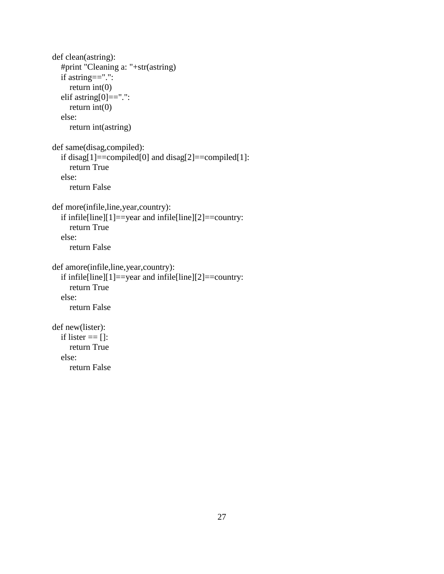```
def clean(astring):
   #print "Cleaning a: "+str(astring)
   if astring==".":
      return int(0)
  elif astring[0] ==".":
     return int(0) else:
      return int(astring)
def same(disag,compiled):
  if disag[1]==compiled[0] and disag[2]==compiled[1]:
      return True
   else:
      return False
def more(infile,line,year,country):
   if infile[line][1]==year and infile[line][2]==country:
      return True
   else:
      return False
def amore(infile,line,year,country):
   if infile[line][1]==year and infile[line][2]==country:
      return True
   else:
      return False
def new(lister):
  if lister == []:
      return True
   else:
      return False
```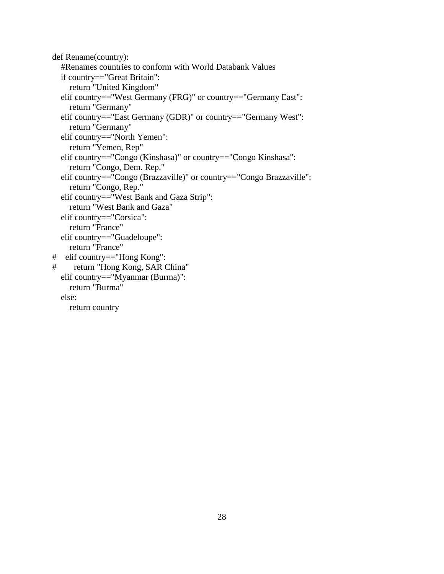```
def Rename(country):
   #Renames countries to conform with World Databank Values
   if country=="Great Britain":
     return "United Kingdom"
   elif country=="West Germany (FRG)" or country=="Germany East":
     return "Germany"
   elif country=="East Germany (GDR)" or country=="Germany West":
     return "Germany"
   elif country=="North Yemen":
     return "Yemen, Rep"
   elif country=="Congo (Kinshasa)" or country=="Congo Kinshasa":
     return "Congo, Dem. Rep."
   elif country=="Congo (Brazzaville)" or country=="Congo Brazzaville":
     return "Congo, Rep." 
   elif country=="West Bank and Gaza Strip":
     return "West Bank and Gaza"
   elif country=="Corsica":
     return "France"
   elif country=="Guadeloupe":
     return "France"
# elif country=="Hong Kong":
# return "Hong Kong, SAR China"
   elif country=="Myanmar (Burma)":
     return "Burma"
   else:
     return country
```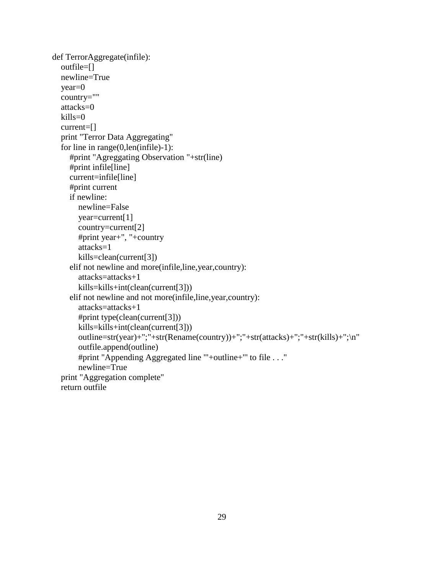```
def TerrorAggregate(infile):
   outfile=[]
   newline=True
   year=0
   country=""
   attacks=0
  kills=0 current=[]
   print "Terror Data Aggregating"
   for line in range(0,len(infile)-1):
      #print "Agreggating Observation "+str(line)
      #print infile[line]
      current=infile[line]
      #print current
      if newline:
        newline=False
        year=current[1]
        country=current[2]
        #print year+", "+country
        attacks=1
        kills=clean(current[3])
      elif not newline and more(infile,line,year,country):
        attacks=attacks+1 
        kills=kills+int(clean(current[3]))
      elif not newline and not more(infile,line,year,country):
        attacks=attacks+1
        #print type(clean(current[3]))
        kills=kills+int(clean(current[3]))
        outline=str(year)+";"+str(Rename(country))+";"+str(attacks)+";"+str(kills)+";\n"
        outfile.append(outline)
        #print "Appending Aggregated line '"+outline+"' to file . . ."
        newline=True 
   print "Aggregation complete"
   return outfile
```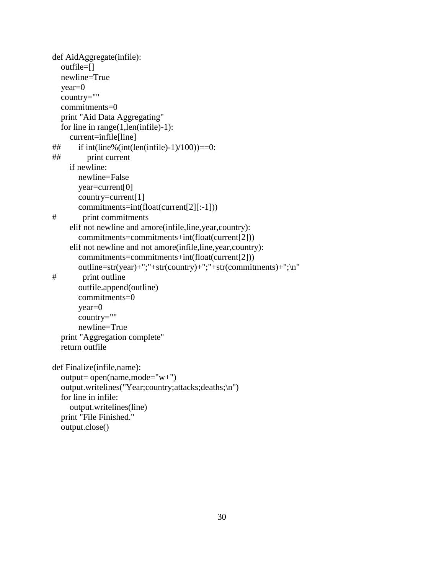```
def AidAggregate(infile):
   outfile=[]
   newline=True
   year=0
   country=""
   commitments=0
   print "Aid Data Aggregating"
   for line in range(1,len(infile)-1):
     current=infile[line]
\# if int(line%(int(len(infile)-1)/100))==0:
## print current
     if newline:
        newline=False
        year=current[0]
        country=current[1]
        commitments=int(float(current[2][:-1]))
# print commitments
     elif not newline and amore(infile,line,year,country):
        commitments=commitments+int(float(current[2]))
     elif not newline and not amore(infile,line,year,country):
        commitments=commitments+int(float(current[2]))
        outline=str(year)+";"+str(country)+";"+str(commitments)+";\n"
# print outline
        outfile.append(outline)
        commitments=0
        year=0
        country=""
        newline=True
   print "Aggregation complete"
   return outfile
def Finalize(infile,name):
   output= open(name,mode="w+")
   output.writelines("Year;country;attacks;deaths;\n")
   for line in infile:
     output.writelines(line)
   print "File Finished."
   output.close()
```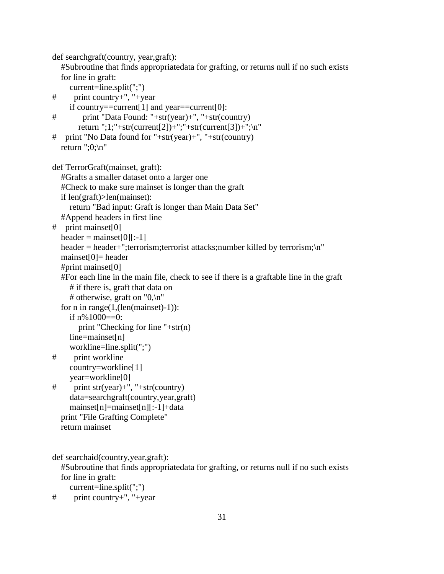def searchgraft(country, year,graft):

 #Subroutine that finds appropriatedata for grafting, or returns null if no such exists for line in graft:

```
 current=line.split(";")
```
# print country+", "+year

```
 if country==current[1] and year==current[0]:
# print "Data Found: "+str(year)+", "+str(country)
```

```
return ";1;"+str(current[2])+";"+str(current[3])+";\n"
```

```
# print "No Data found for "+str(year)+", "+str(country)
  return ";0;\ln"
```

```
def TerrorGraft(mainset, graft):
```
#Grafts a smaller dataset onto a larger one

```
 #Check to make sure mainset is longer than the graft
```

```
 if len(graft)>len(mainset):
```
return "Bad input: Graft is longer than Main Data Set"

```
 #Append headers in first line
```

```
# print mainset[0]
```

```
header = mainset[0][:-1]
```

```
header = header+";terrorism;terrorist attacks;number killed by terrorism;\n"
```

```
mainset[0]= header
```

```
 #print mainset[0]
```

```
 #For each line in the main file, check to see if there is a graftable line in the graft
   # if there is, graft that data on
```

```
# otherwise, graft on "0,\n\pi"
```

```
for n in range(1,(len(mainset)-1)):
```

```
if n\%1000 == 0:
```

```
 print "Checking for line "+str(n)
```

```
 line=mainset[n]
```

```
 workline=line.split(";")
```

```
# print workline
```

```
 country=workline[1]
```

```
 year=workline[0]
```

```
# print str(year)+", "+str(country)
      data=searchgraft(country,year,graft)
      mainset[n]=mainset[n][:-1]+data
   print "File Grafting Complete"
```

```
 return mainset
```

```
def searchaid(country,year,graft):
```
 #Subroutine that finds appropriatedata for grafting, or returns null if no such exists for line in graft:

```
 current=line.split(";")
```

```
# print country+", "+year
```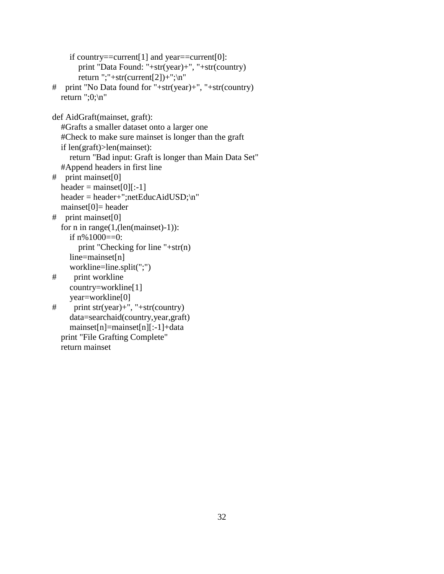```
 if country==current[1] and year==current[0]:
        print "Data Found: "+str(year)+", "+str(country)
       return ";"+str(current[2]) +";\n\frac{n}{r}# print "No Data found for "+str(year)+", "+str(country)
  return ":0; \n"
def AidGraft(mainset, graft):
   #Grafts a smaller dataset onto a larger one
   #Check to make sure mainset is longer than the graft
   if len(graft)>len(mainset):
      return "Bad input: Graft is longer than Main Data Set"
   #Append headers in first line
# print mainset[0]
  header = mainset[0][:-1]
   header = header+";netEducAidUSD;\n"
  mainset[0]= header
# print mainset[0]
   for n in range(1,(len(mainset)-1)):
      if n%1000==0:
        print "Checking for line "+str(n)
      line=mainset[n]
      workline=line.split(";")
# print workline
      country=workline[1]
      year=workline[0]
# print str(year)+", "+str(country)
      data=searchaid(country,year,graft)
      mainset[n]=mainset[n][:-1]+data
   print "File Grafting Complete"
   return mainset
```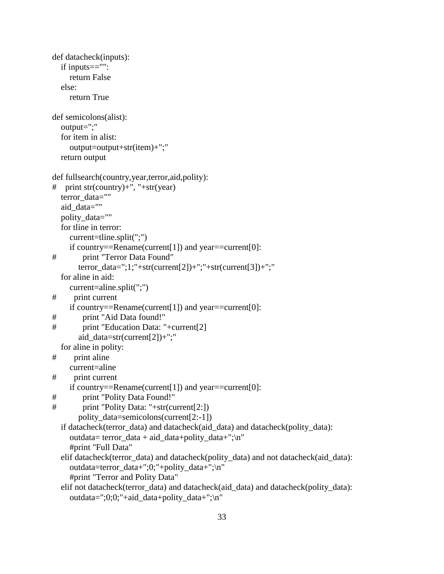```
def datacheck(inputs):
   if inputs=="":
     return False
   else:
      return True
def semicolons(alist):
   output=";"
   for item in alist:
      output=output+str(item)+";"
   return output
def fullsearch(country,year,terror,aid,polity):
# print str(country)+", "+str(year)
  terror_data=""
  aid data=""
  polity data=""
   for tline in terror:
      current=tline.split(";")
     if country==Rename(current[1]) and year==current[0]:
# print "Terror Data Found"
        terror_data=";1;"+str(current[2])+";"+str(current[3])+";"
   for aline in aid:
     current=aline.split(";")
# print current
     if country==Rename(current[1]) and year==current[0]:
# print "Aid Data found!"
# print "Education Data: "+current[2]
        aid_data=str(current[2])+";"
   for aline in polity:
# print aline
     current=aline
# print current
     if country==Rename(current[1]) and year==current[0]:
# print "Polity Data Found!"
# print "Polity Data: "+str(current[2:])
        polity_data=semicolons(current[2:-1])
   if datacheck(terror_data) and datacheck(aid_data) and datacheck(polity_data):
     outdata= terror_data + aid_data+polity_data+";\n"
      #print "Full Data"
   elif datacheck(terror_data) and datacheck(polity_data) and not datacheck(aid_data):
      outdata=terror_data+";0;"+polity_data+";\n"
      #print "Terror and Polity Data"
   elif not datacheck(terror_data) and datacheck(aid_data) and datacheck(polity_data):
      outdata=";0;0;"+aid_data+polity_data+";\n"
```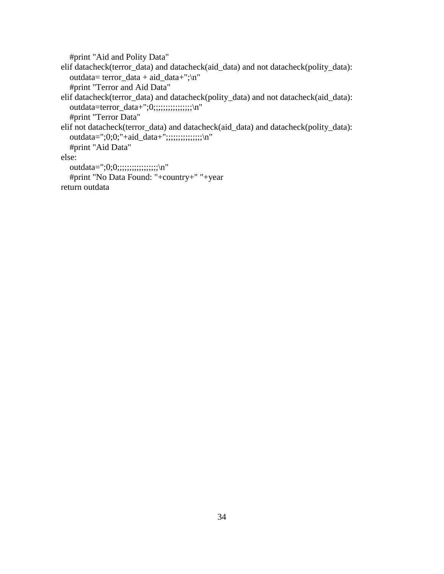#print "Aid and Polity Data"

 elif datacheck(terror\_data) and datacheck(aid\_data) and not datacheck(polity\_data): outdata= terror\_data + aid\_data+";\n" #print "Terror and Aid Data" elif datacheck(terror\_data) and datacheck(polity\_data) and not datacheck(aid\_data): outdata=terror\_data+";0;;;;;;;;;;;;;;;;;\n" #print "Terror Data" elif not datacheck(terror\_data) and datacheck(aid\_data) and datacheck(polity\_data):

outdata=";0;0;"+aid\_data+";;;;;;;;;;;;;;;;\n"

#print "Aid Data"

else:

outdata=";0;0;;;;;;;;;;;;;;;;;;;;;\n"

```
 #print "No Data Found: "+country+" "+year
 return outdata
```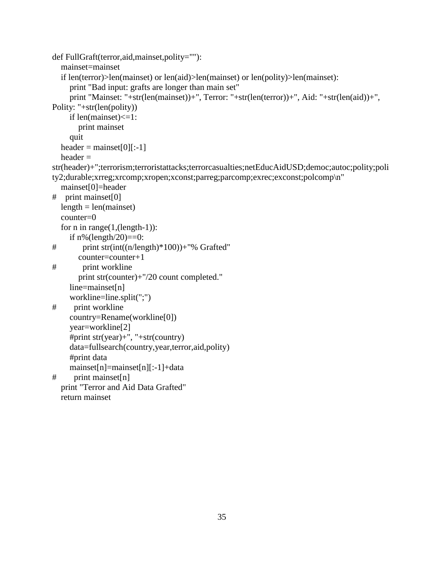```
def FullGraft(terror,aid,mainset,polity=""):
   mainset=mainset
   if len(terror)>len(mainset) or len(aid)>len(mainset) or len(polity)>len(mainset):
      print "Bad input: grafts are longer than main set"
      print "Mainset: "+str(len(mainset))+", Terror: "+str(len(terror))+", Aid: "+str(len(aid))+", 
Polity: "+str(len(polity))
     if len(mainset)<=1:
        print mainset
     quit
  header = mainset[0][:-1]
  header =str(header)+";terrorism;terroristattacks;terrorcasualties;netEducAidUSD;democ;autoc;polity;poli
ty2;durable;xrreg;xrcomp;xropen;xconst;parreg;parcomp;exrec;exconst;polcomp\n"
   mainset[0]=header
# print mainset[0]
  length = len(maxinset) counter=0
  for n in range(1, (length-1)):
    if n\% (length/20)==0:
# print str(int((n/length)*100))+"% Grafted"
        counter=counter+1
# print workline
        print str(counter)+"/20 count completed."
     line=mainset[n]
     workline=line.split(";")
# print workline
      country=Rename(workline[0])
      year=workline[2]
     #print str(year)+", "+str(country)
      data=fullsearch(country,year,terror,aid,polity)
      #print data
     mainset[n]=mainset[n][:-1]+data
# print mainset[n]
   print "Terror and Aid Data Grafted"
   return mainset
```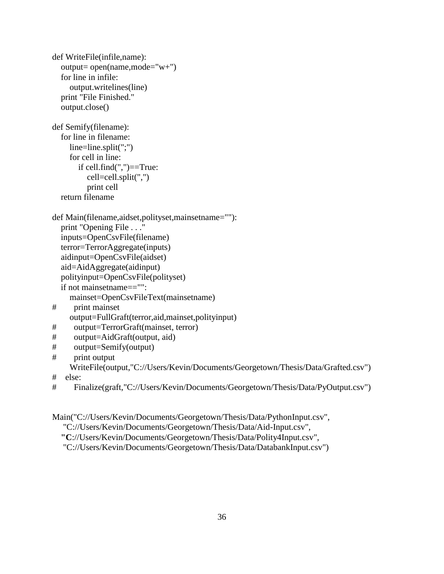```
def WriteFile(infile,name):
   output= open(name,mode="w+")
   for line in infile:
      output.writelines(line)
   print "File Finished."
   output.close()
def Semify(filename):
   for line in filename:
     line=line.split(";")
     for cell in line:
        if cell.find(",")==True:
          cell=cell.split(",")
          print cell
   return filename
def Main(filename,aidset,polityset,mainsetname=""):
   print "Opening File . . ."
   inputs=OpenCsvFile(filename)
   terror=TerrorAggregate(inputs)
   aidinput=OpenCsvFile(aidset)
   aid=AidAggregate(aidinput)
   polityinput=OpenCsvFile(polityset)
   if not mainsetname=="":
     mainset=OpenCsvFileText(mainsetname)
# print mainset
      output=FullGraft(terror,aid,mainset,polityinput)
# output=TerrorGraft(mainset, terror)
# output=AidGraft(output, aid)
# output=Semify(output)
# print output
     WriteFile(output,"C://Users/Kevin/Documents/Georgetown/Thesis/Data/Grafted.csv")
# else:
# Finalize(graft,"C://Users/Kevin/Documents/Georgetown/Thesis/Data/PyOutput.csv")
```
Main("C://Users/Kevin/Documents/Georgetown/Thesis/Data/PythonInput.csv",

"C://Users/Kevin/Documents/Georgetown/Thesis/Data/Aid-Input.csv",

 **"C**://Users/Kevin/Documents/Georgetown/Thesis/Data/Polity4Input.csv",

"C://Users/Kevin/Documents/Georgetown/Thesis/Data/DatabankInput.csv")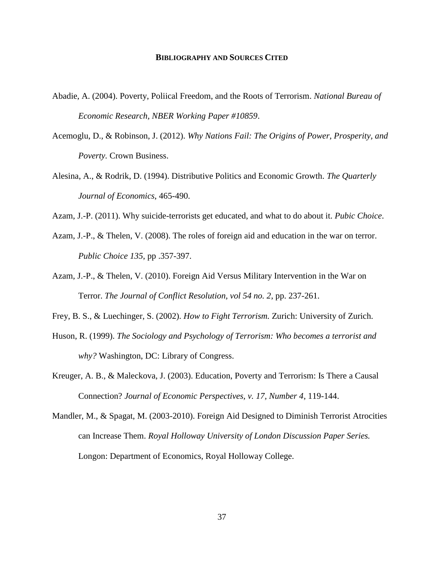#### **BIBLIOGRAPHY AND SOURCES CITED**

- <span id="page-41-0"></span>Abadie, A. (2004). Poverty, Poliical Freedom, and the Roots of Terrorism. *National Bureau of Economic Research, NBER Working Paper #10859*.
- Acemoglu, D., & Robinson, J. (2012). *Why Nations Fail: The Origins of Power, Prosperity, and Poverty.* Crown Business.
- Alesina, A., & Rodrik, D. (1994). Distributive Politics and Economic Growth. *The Quarterly Journal of Economics*, 465-490.
- Azam, J.-P. (2011). Why suicide-terrorists get educated, and what to do about it. *Pubic Choice*.
- Azam, J.-P., & Thelen, V. (2008). The roles of foreign aid and education in the war on terror. *Public Choice 135*, pp .357-397.
- Azam, J.-P., & Thelen, V. (2010). Foreign Aid Versus Military Intervention in the War on Terror. *The Journal of Conflict Resolution, vol 54 no. 2*, pp. 237-261.
- Frey, B. S., & Luechinger, S. (2002). *How to Fight Terrorism.* Zurich: University of Zurich.
- Huson, R. (1999). *The Sociology and Psychology of Terrorism: Who becomes a terrorist and why?* Washington, DC: Library of Congress.
- Kreuger, A. B., & Maleckova, J. (2003). Education, Poverty and Terrorism: Is There a Causal Connection? *Journal of Economic Perspectives, v. 17, Number 4*, 119-144.
- Mandler, M., & Spagat, M. (2003-2010). Foreign Aid Designed to Diminish Terrorist Atrocities can Increase Them. *Royal Holloway University of London Discussion Paper Series.* Longon: Department of Economics, Royal Holloway College.